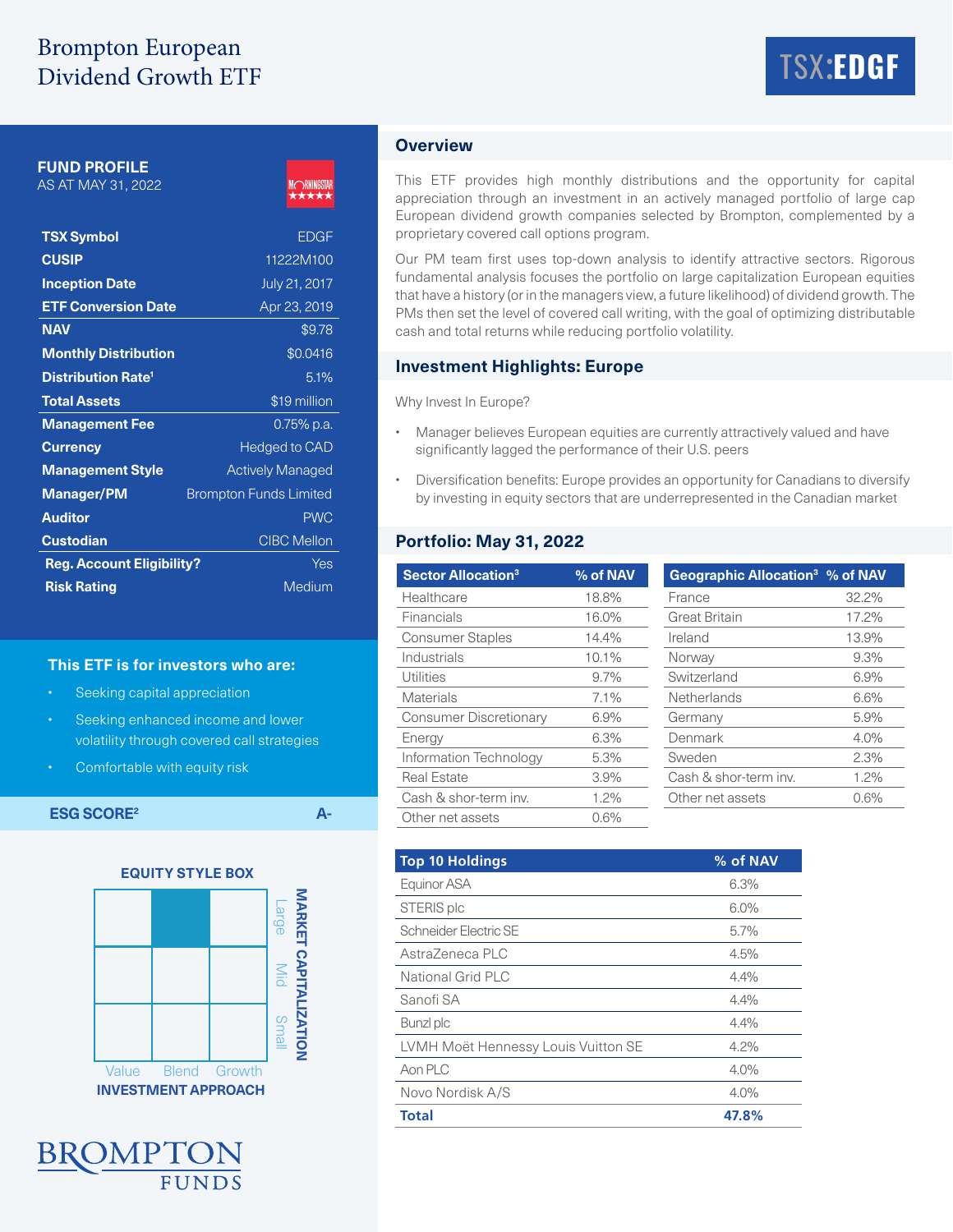# Brompton European Dividend Growth ETF



**FUND PROFILE**

AS AT MAY 31, 2022



| <b>TSX Symbol</b>                    | <b>EDGF</b>                   |
|--------------------------------------|-------------------------------|
| <b>CUSIP</b>                         | 11222M100                     |
| <b>Inception Date</b>                | July 21, 2017                 |
| <b>ETF Conversion Date</b>           | Apr 23, 2019                  |
| <b>NAV</b>                           | \$9.78                        |
| <b>Monthly Distribution</b>          | \$0.0416                      |
| <b>Distribution Rate<sup>1</sup></b> | 5.1%                          |
| <b>Total Assets</b>                  | \$19 million                  |
| <b>Management Fee</b>                | $0.75\%$ p.a.                 |
| <b>Currency</b>                      | <b>Hedged to CAD</b>          |
| <b>Management Style</b>              | <b>Actively Managed</b>       |
| <b>Manager/PM</b>                    | <b>Brompton Funds Limited</b> |
| <b>Auditor</b>                       | <b>PWC</b>                    |
| <b>Custodian</b>                     | <b>CIBC Mellon</b>            |
| <b>Reg. Account Eligibility?</b>     | Yes                           |
| <b>Risk Rating</b>                   | Medium                        |

### **This ETF is for investors who are:**

- Seeking capital appreciation
- Seeking enhanced income and lower volatility through covered call strategies
- Comfortable with equity risk

**ESG SCORE<sup>2</sup> A-**





# **Overview**

This ETF provides high monthly distributions and the opportunity for capital appreciation through an investment in an actively managed portfolio of large cap European dividend growth companies selected by Brompton, complemented by a proprietary covered call options program.

Our PM team first uses top-down analysis to identify attractive sectors. Rigorous fundamental analysis focuses the portfolio on large capitalization European equities that have a history (or in the managers view, a future likelihood) of dividend growth. The PMs then set the level of covered call writing, with the goal of optimizing distributable cash and total returns while reducing portfolio volatility.

#### **Investment Highlights: Europe**

Why Invest In Europe?

- Manager believes European equities are currently attractively valued and have significantly lagged the performance of their U.S. peers
- Diversification benefits: Europe provides an opportunity for Canadians to diversify by investing in equity sectors that are underrepresented in the Canadian market

# **Portfolio: May 31, 2022**

| <b>Sector Allocation<sup>3</sup></b> | % of NAV | Geographic Allocation <sup>3</sup> % of NAV |       |
|--------------------------------------|----------|---------------------------------------------|-------|
| Healthcare                           | 18.8%    | France                                      | 32.2% |
| Financials                           | 16.0%    | <b>Great Britain</b>                        | 17.2% |
| <b>Consumer Staples</b>              | 14.4%    | Ireland                                     | 13.9% |
| Industrials                          | 10.1%    | Norway                                      | 9.3%  |
| Utilities                            | 9.7%     | Switzerland                                 | 6.9%  |
| Materials                            | $7.1\%$  | Netherlands                                 | 6.6%  |
| <b>Consumer Discretionary</b>        | 6.9%     | Germany                                     | 5.9%  |
| Energy                               | 6.3%     | Denmark                                     | 4.0%  |
| Information Technology               | 5.3%     | Sweden                                      | 2.3%  |
| <b>Real Estate</b>                   | 3.9%     | Cash & shor-term inv.                       | 1.2%  |
| Cash & shor-term inv.                | 1.2%     | Other net assets                            | 0.6%  |
| Other net assets                     | 0.6%     |                                             |       |

| <b>Top 10 Holdings</b>              | % of NAV |
|-------------------------------------|----------|
| Equinor ASA                         | 6.3%     |
| STERIS plc                          | 6.0%     |
| Schneider Electric SE               | 5.7%     |
| AstraZeneca PLC                     | 4.5%     |
| National Grid PLC                   | 4.4%     |
| Sanofi SA                           | 4.4%     |
| Bunzl plc                           | 4.4%     |
| LVMH Moët Hennessy Louis Vuitton SE | 4.2%     |
| Aon PLC                             | 4.0%     |
| Novo Nordisk A/S                    | 4.0%     |
| <b>Total</b>                        | 47.8%    |